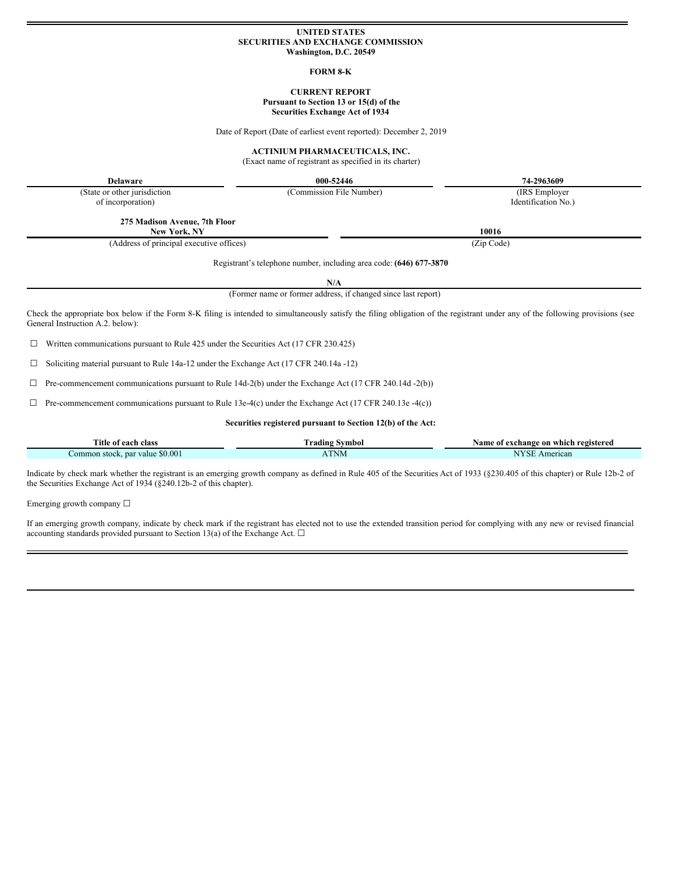#### **UNITED STATES SECURITIES AND EXCHANGE COMMISSION Washington, D.C. 20549**

#### **FORM 8-K**

#### **CURRENT REPORT Pursuant to Section 13 or 15(d) of the Securities Exchange Act of 1934**

Date of Report (Date of earliest event reported): December 2, 2019

## **ACTINIUM PHARMACEUTICALS, INC.**

(Exact name of registrant as specified in its charter)

**Delaware 000-52446 74-2963609**

(State or other jurisdiction

of incorporation)

**275 Madison Avenue, 7th Floor New York, NY 10016**

(Address of principal executive offices) (Zip Code)

Registrant's telephone number, including area code: **(646) 677-3870**

**N/A**

(Former name or former address, if changed since last report)

Check the appropriate box below if the Form 8-K filing is intended to simultaneously satisfy the filing obligation of the registrant under any of the following provisions (see General Instruction A.2. below):

☐ Written communications pursuant to Rule 425 under the Securities Act (17 CFR 230.425)

☐ Soliciting material pursuant to Rule 14a-12 under the Exchange Act (17 CFR 240.14a -12)

 $\Box$  Pre-commencement communications pursuant to Rule 14d-2(b) under the Exchange Act (17 CFR 240.14d -2(b))

 $\Box$  Pre-commencement communications pursuant to Rule 13e-4(c) under the Exchange Act (17 CFR 240.13e -4(c))

**Securities registered pursuant to Section 12(b) of the Act:**

| Title of each<br>. class                | Svmbol<br><b>Trading</b>                                   | registered<br>Name of<br><i>i</i> exchange on<br>⊢which – |
|-----------------------------------------|------------------------------------------------------------|-----------------------------------------------------------|
| \$0.001<br>. par value<br>∴ommon stock. | ATNM<br><u> 1980 - John Harrison, markin bir başlandı.</u> | <b>ATV ST</b><br>American<br>SF                           |

Indicate by check mark whether the registrant is an emerging growth company as defined in Rule 405 of the Securities Act of 1933 (§230.405 of this chapter) or Rule 12b-2 of the Securities Exchange Act of 1934 (§240.12b-2 of this chapter).

Emerging growth company ☐

If an emerging growth company, indicate by check mark if the registrant has elected not to use the extended transition period for complying with any new or revised financial accounting standards provided pursuant to Section 13(a) of the Exchange Act.  $\Box$ 

Identification No.)

(Commission File Number) (IRS Employer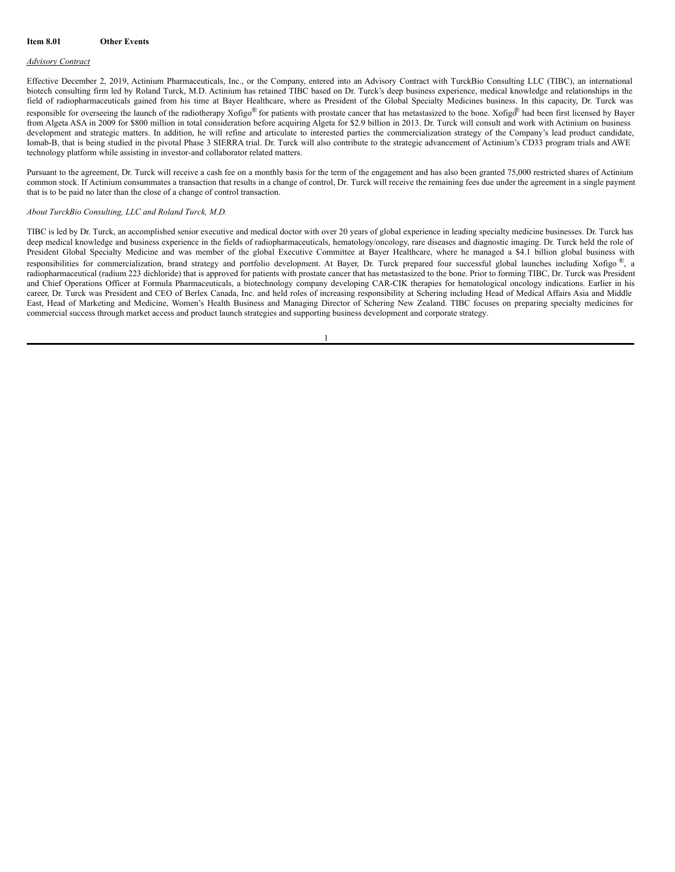#### *Advisory Contract*

Effective December 2, 2019, Actinium Pharmaceuticals, Inc., or the Company, entered into an Advisory Contract with TurckBio Consulting LLC (TIBC), an international biotech consulting firm led by Roland Turck, M.D. Actinium has retained TIBC based on Dr. Turck's deep business experience, medical knowledge and relationships in the field of radiopharmaceuticals gained from his time at Bayer Healthcare, where as President of the Global Specialty Medicines business. In this capacity, Dr. Turck was responsible for overseeing the launch of the radiotherapy Xofigo® for patients with prostate cancer that has metastasized to the bone. Xofigo® had been first licensed by Bayer from Algeta ASA in 2009 for \$800 million in total consideration before acquiring Algeta for \$2.9 billion in 2013. Dr. Turck will consult and work with Actinium on business development and strategic matters. In addition, he will refine and articulate to interested parties the commercialization strategy of the Company's lead product candidate, Iomab-B, that is being studied in the pivotal Phase 3 SIERRA trial. Dr. Turck will also contribute to the strategic advancement of Actinium's CD33 program trials and AWE technology platform while assisting in investor-and collaborator related matters.

Pursuant to the agreement. Dr. Turck will receive a cash fee on a monthly basis for the term of the engagement and has also been granted 75,000 restricted shares of Actinium common stock. If Actinium consummates a transaction that results in a change of control, Dr. Turck will receive the remaining fees due under the agreement in a single payment that is to be paid no later than the close of a change of control transaction.

#### *About TurckBio Consulting, LLC and Roland Turck, M.D.*

TIBC is led by Dr. Turck, an accomplished senior executive and medical doctor with over 20 years of global experience in leading specialty medicine businesses. Dr. Turck has deep medical knowledge and business experience in the fields of radiopharmaceuticals, hematology/oncology, rare diseases and diagnostic imaging. Dr. Turck held the role of President Global Specialty Medicine and was member of the global Executive Committee at Bayer Healthcare, where he managed a \$4.1 billion global business with responsibilities for commercialization, brand strategy and portfolio development. At Bayer, Dr. Turck prepared four successful global launches including Xofigo ®, a radiopharmaceutical (radium 223 dichloride) that is approved for patients with prostate cancer that has metastasized to the bone. Prior to forming TIBC, Dr. Turck was President and Chief Operations Officer at Formula Pharmaceuticals, a biotechnology company developing CAR-CIK therapies for hematological oncology indications. Earlier in his career, Dr. Turck was President and CEO of Berlex Canada, Inc. and held roles of increasing responsibility at Schering including Head of Medical Affairs Asia and Middle East, Head of Marketing and Medicine, Women's Health Business and Managing Director of Schering New Zealand. TIBC focuses on preparing specialty medicines for commercial success through market access and product launch strategies and supporting business development and corporate strategy.

### 1